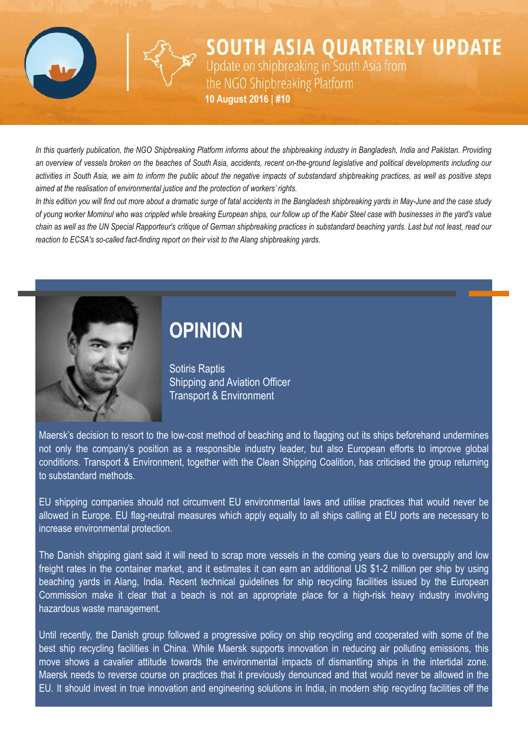

**SOUTH ASIA QUARTERLY UPDATE** Update on shipbreaking in South Asia from the NGO Shipbreaking Platform **10 August 2016 | #10**

In this quarterly publication, the NGO Shipbreaking Platform informs about the shipbreaking industry in Bangladesh, India and Pakistan. Providing an overview of vessels broken on the beaches of South Asia, accidents, recent on-the-ground legislative and political developments including our activities in South Asia, we aim to inform the public about the negative impacts of substandard shipbreaking practices, as well as positive steps *aimed at the realisation of environmental justice and the protection of workers' rights.*

In this edition you will find out more about a dramatic surge of fatal accidents in the Bangladesh shipbreaking vards in May-June and the case study of young worker Mominul who was crippled while breaking European ships, our follow up of the Kabir Steel case with businesses in the yard's value chain as well as the UN Special Rapporteur's critique of German shipbreaking practices in substandard beaching yards. Last but not least, read our *reaction* to *ECSA's* so-called *fact-finding report* on *their visit* to *the Alang shipbreaking yards.* 



# **OPINION**

Sotiris Raptis Shipping and Aviation Officer Transport & Environment

Maersk's decision to resort to the low-cost method of beaching and to flagging out its ships beforehand undermines not only the company's position as a responsible industry leader, but also European efforts to improve global conditions. Transport & Environment, together with the Clean Shipping Coalition, has criticised the group returning to substandard methods.

EU shipping companies should not circumvent EU environmental laws and utilise practices that would never be allowed in Europe. EU flag-neutral measures which apply equally to all ships calling at EU ports are necessary to increase environmental protection.

The Danish shipping giant said it will need to scrap more vessels in the coming years due to oversupply and low freight rates in the container market, and it estimates it can earn an additional US \$1-2 million per ship by using beaching yards in Alang, India. Recent technical guidelines for ship recycling facilities issued by the European Commission make it clear that a beach is not an appropriate place for a high-risk heavy industry involving hazardous waste management.

Until recently, the Danish group followed a progressive policy on ship recycling and cooperated with some of the best ship recycling facilities in China. While Maersk supports innovation in reducing air polluting emissions, this move shows a cavalier attitude towards the environmental impacts of dismantling ships in the intertidal zone. Maersk needs to reverse course on practices that it previously denounced and that would never be allowed in the EU. It should invest in true innovation and engineering solutions in India, in modern ship recycling facilities off the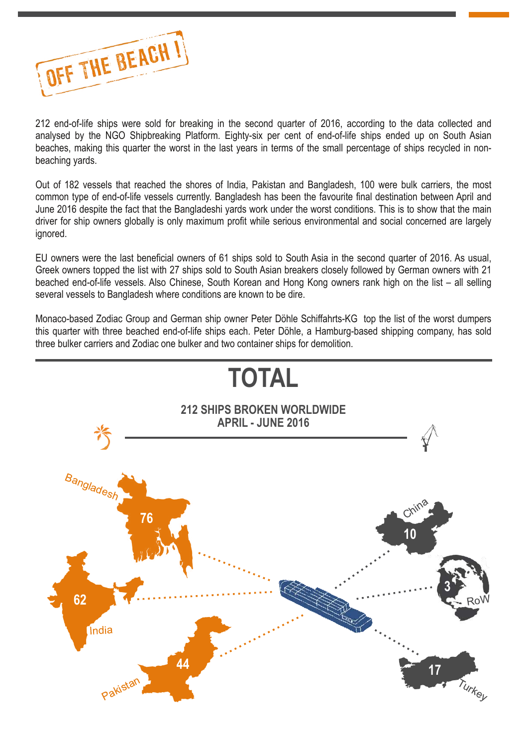

212 end-of-life ships were sold for breaking in the second quarter of 2016, according to the data collected and analysed by the NGO Shipbreaking Platform. Eighty-six per cent of end-of-life ships ended up on South Asian beaches, making this quarter the worst in the last years in terms of the small percentage of ships recycled in nonbeaching yards.

Out of 182 vessels that reached the shores of India, Pakistan and Bangladesh, 100 were bulk carriers, the most common type of end-of-life vessels currently. Bangladesh has been the favourite final destination between April and June 2016 despite the fact that the Bangladeshi yards work under the worst conditions. This is to show that the main driver for ship owners globally is only maximum profit while serious environmental and social concerned are largely ignored.

EU owners were the last beneficial owners of 61 ships sold to South Asia in the second quarter of 2016. As usual, Greek owners topped the list with 27 ships sold to South Asian breakers closely followed by German owners with 21 beached end-of-life vessels. Also Chinese, South Korean and Hong Kong owners rank high on the list – all selling several vessels to Bangladesh where conditions are known to be dire.

Monaco-based Zodiac Group and German ship owner Peter Döhle Schiffahrts-KG top the list of the worst dumpers this quarter with three beached end-of-life ships each. Peter Döhle, a Hamburg-based shipping company, has sold three bulker carriers and Zodiac one bulker and two container ships for demolition.

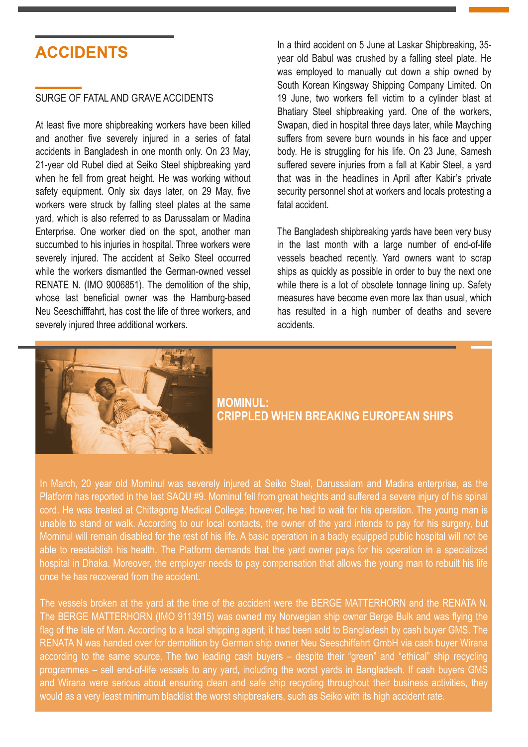# **ACCIDENTS**

### SURGE OF FATAL AND GRAVE ACCIDENTS

At least five more shipbreaking workers have been killed and another five severely injured in a series of fatal accidents in Bangladesh in one month only. On 23 May, 21-year old Rubel died at Seiko Steel shipbreaking vard when he fell from great height. He was working without safety equipment. Only six days later, on 29 May, five workers were struck by falling steel plates at the same yard, which is also referred to as Darussalam or Madina Enterprise. One worker died on the spot, another man succumbed to his injuries in hospital. Three workers were severely injured. The accident at Seiko Steel occurred while the workers dismantled the German-owned vessel RENATE N. (IMO 9006851). The demolition of the ship, whose last beneficial owner was the Hamburg-based Neu Seeschifffahrt, has cost the life of three workers, and severely injured three additional workers.

In a third accident on 5 June at Laskar Shipbreaking, 35 year old Babul was crushed by a falling steel plate. He was employed to manually cut down a ship owned by South Korean Kingsway Shipping Company Limited. On 19 June, two workers fell victim to a cylinder blast at Bhatiary Steel shipbreaking yard. One of the workers, Swapan, died in hospital three days later, while Mayching suffers from severe burn wounds in his face and upper body. He is struggling for his life. On 23 June, Samesh suffered severe injuries from a fall at Kabir Steel, a yard that was in the headlines in April after Kabir's private security personnel shot at workers and locals protesting a fatal accident.

The Bangladesh shipbreaking yards have been very busy in the last month with a large number of end-of-life vessels beached recently. Yard owners want to scrap ships as quickly as possible in order to buy the next one while there is a lot of obsolete tonnage lining up. Safety measures have become even more lax than usual, which has resulted in a high number of deaths and severe accidents.



### **MOMINUL: CRIPPLED WHEN BREAKING EUROPEAN SHIPS**

In March, 20 year old Mominul was severely injured at Seiko Steel, Darussalam and Madina enterprise, as the Platform has reported in the last [SAQU](http://www.shipbreakingplatform.org/shipbrea_wp2011/wp-content/uploads/2016/04/SOUTH-ASIA-QUARTERLY-UPDATE-9-final.pdf) #9. Mominul fell from great heights and suffered a severe injury of his spinal cord. He was treated at Chittagong Medical College; however, he had to wait for his operation. The young man is unable to stand or walk. According to our local contacts, the owner of the yard intends to pay for his surgery, but Mominul will remain disabled for the rest of his life. A basic operation in a badly equipped public hospital will not be able to reestablish his health. The Platform demands that the yard owner pays for his operation in a specialized hospital in Dhaka. Moreover, the employer needs to pay compensation that allows the young man to rebuilt his life once he has recovered from the accident.

The vessels broken at the yard at the time of the accident were the BERGE MATTERHORN and the RENATA N. The BERGE MATTERHORN (IMO 9113915) was owned my Norwegian ship owner Berge Bulk and was flying the flag of the Isle of Man. According to a local shipping agent, it had been sold to Bangladesh by cash buyer GMS. The RENATA N was handed over for demolition by German ship owner Neu Seeschiffahrt GmbH via cash buyer Wirana according to the same source. The two leading cash buyers – despite their "green" and "ethical" ship recycling programmes – sell end-of-life vessels to any yard, including the worst yards in Bangladesh. If cash buyers GMS and Wirana were serious about ensuring clean and safe ship recycling throughout their business activities, they would as a very least minimum blacklist the worst shipbreakers, such as Seiko with its high accident rate.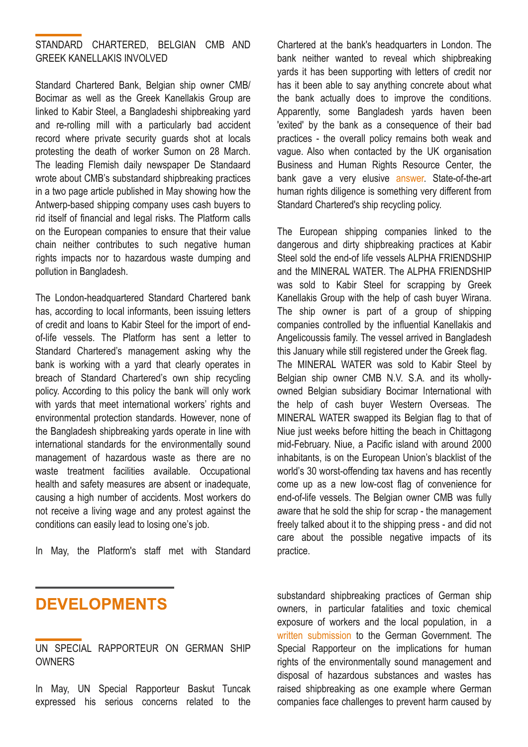### STANDARD CHARTERED, BELGIAN CMB AND GREEK KANELLAKIS INVOLVED

Standard Chartered Bank, Belgian ship owner CMB/ Bocimar as well as the Greek Kanellakis Group are linked to Kabir Steel, a Bangladeshi shipbreaking yard and rerolling mill with a particularly bad accident record where private security guards shot at locals protesting the death of worker Sumon on 28 March. The leading Flemish daily newspaper De Standaard wrote about CMB's substandard shipbreaking practices in a two page article published in May showing how the Antwerp-based shipping company uses cash buyers to rid itself of financial and legal risks. The Platform calls on the European companies to ensure that their value chain neither contributes to such negative human rights impacts nor to hazardous waste dumping and pollution in Bangladesh.

The London-headquartered Standard Chartered bank has, according to local informants, been issuing letters of credit and loans to Kabir Steel for the import of endof-life vessels. The Platform has sent a letter to Standard Chartered's management asking why the bank is working with a yard that clearly operates in breach of Standard Chartered's own ship recycling policy. According to this policy the bank will only work with yards that meet international workers' rights and environmental protection standards. However, none of the Bangladesh shipbreaking yards operate in line with international standards for the environmentally sound management of hazardous waste as there are no waste treatment facilities available. Occupational health and safety measures are absent or inadequate, causing a high number of accidents. Most workers do not receive a living wage and any protest against the conditions can easily lead to losing one's job.

In May, the Platform's staff met with Standard

Chartered at the bank's headquarters in London. The bank neither wanted to reveal which shipbreaking yards it has been supporting with letters of credit nor has it been able to say anything concrete about what the bank actually does to improve the conditions. Apparently, some Bangladesh yards haven been 'exited' by the bank as a consequence of their bad practices - the overall policy remains both weak and vague. Also when contacted by the UK organisation Business and Human Rights Resource Center, the bank gave a very elusive [answer.](https://www.business-humanrights.org/en/bangladesh-7-hurt-by-bullets-allegedly-fired-by-guards-of-kabir-steel-ltd-ship-owners-bank-linked#c138797) State-of-the-art human rights diligence is something very different from Standard Chartered's ship recycling policy.

The European shipping companies linked to the dangerous and dirty shipbreaking practices at Kabir Steel sold the end-of life vessels ALPHA FRIENDSHIP and the MINERAL WATER. The ALPHA FRIENDSHIP was sold to Kabir Steel for scrapping by Greek Kanellakis Group with the help of cash buyer Wirana. The ship owner is part of a group of shipping companies controlled by the influential Kanellakis and Angelicoussis family. The vessel arrived in Bangladesh this January while still registered under the Greek flag. The MINERAL WATER was sold to Kabir Steel by Belgian ship owner CMB N.V. S.A. and its whollyowned Belgian subsidiary Bocimar International with the help of cash buyer Western Overseas. The MINERAL WATER swapped its Belgian flag to that of Niue just weeks before hitting the beach in Chittagong mid-February. Niue, a Pacific island with around 2000 inhabitants, is on the European Union's blacklist of the world's 30 worst-offending tax havens and has recently come up as a new low-cost flag of convenience for end-of-life vessels. The Belgian owner CMB was fully aware that he sold the ship for scrap - the management freely talked about it to the shipping press - and did not care about the possible negative impacts of its practice.

# **DEVELOPMENTS**

UN SPECIAL RAPPORTEUR ON GERMAN SHIP **OWNERS** 

In May, UN Special Rapporteur Baskut Tuncak expressed his serious concerns related to the substandard shipbreaking practices of German ship owners, in particular fatalities and toxic chemical exposure of workers and the local population, in a written [submission](https://spdb.ohchr.org/hrdb/32nd/public_-_OL_DEU_25.02.16_(1.2016).pdf) to the German Government. The Special Rapporteur on the implications for human rights of the environmentally sound management and disposal of hazardous substances and wastes has raised shipbreaking as one example where German companies face challenges to prevent harm caused by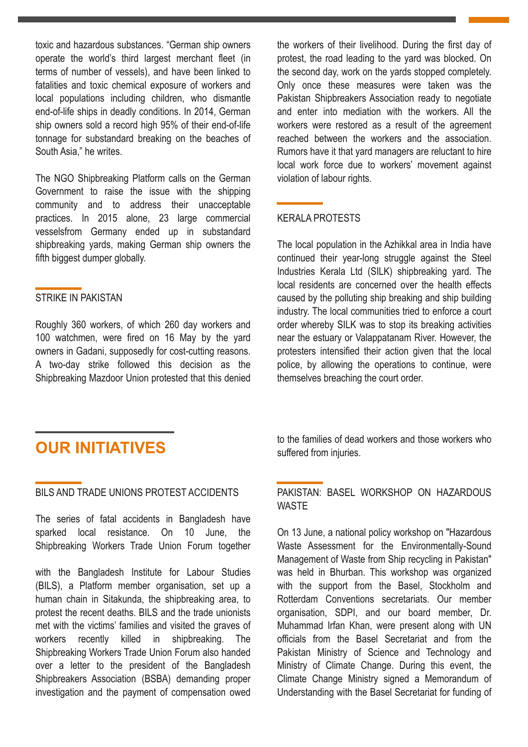toxic and hazardous substances. "German ship owners operate the world's third largest merchant fleet (in terms of number of vessels), and have been linked to fatalities and toxic chemical exposure of workers and local populations including children, who dismantle end-of-life ships in deadly conditions. In 2014, German ship owners sold a record high 95% of their end-of-life tonnage for substandard breaking on the beaches of South Asia," he writes.

The NGO Shipbreaking Platform calls on the German Government to raise the issue with the shipping community and to address their unacceptable practices. In 2015 alone, 23 large commercial vesselsfrom Germany ended up in substandard shipbreaking yards, making German ship owners the fifth biggest dumper globally.

### STRIKE IN PAKISTAN

Roughly 360 workers, of which 260 day workers and 100 watchmen, were fired on 16 May by the yard owners in Gadani, supposedly for cost-cutting reasons. A two-day strike followed this decision as the Shipbreaking Mazdoor Union protested that this denied

the workers of their livelihood. During the first day of protest, the road leading to the yard was blocked. On the second day, work on the yards stopped completely. Only once these measures were taken was the Pakistan Shipbreakers Association ready to negotiate and enter into mediation with the workers. All the workers were restored as a result of the agreement reached between the workers and the association. Rumors have it that yard managers are reluctant to hire local work force due to workers' movement against violation of labour rights.

### KERALA PROTESTS

The local population in the Azhikkal area in India have continued their year-long struggle against the Steel Industries Kerala Ltd (SILK) shipbreaking yard. The local residents are concerned over the health effects caused by the polluting ship breaking and ship building industry. The local communities tried to enforce a court order whereby SILK was to stop its breaking activities near the estuary or Valappatanam River. However, the protesters intensified their action given that the local police, by allowing the operations to continue, were themselves breaching the court order.

# **OUR INITIATIVES**

#### BILS AND TRADE UNIONS PROTEST ACCIDENTS

The series of fatal accidents in Bangladesh have sparked local resistance. On 10 June, the Shipbreaking Workers Trade Union Forum together

with the Bangladesh Institute for Labour Studies (BILS), a Platform member organisation, set up a human chain in Sitakunda, the shipbreaking area, to protest the recent deaths. BILS and the trade unionists met with the victims' families and visited the graves of workers recently killed in shipbreaking. The Shipbreaking Workers Trade Union Forum also handed over a letter to the president of the Bangladesh Shipbreakers Association (BSBA) demanding proper investigation and the payment of compensation owed to the families of dead workers and those workers who suffered from injuries.

#### PAKISTAN: BASEL WORKSHOP ON HAZARDOUS **WASTE**

On 13 June, a national policy workshop on "Hazardous Waste Assessment for the Environmentally-Sound Management of Waste from Ship recycling in Pakistan" was held in Bhurban. This workshop was organized with the support from the Basel, Stockholm and Rotterdam Conventions secretariats. Our member organisation, SDPI, and our board member, Dr. Muhammad Irfan Khan, were present along with UN officials from the Basel Secretariat and from the Pakistan Ministry of Science and Technology and Ministry of Climate Change. During this event, the Climate Change Ministry signed a Memorandum of Understanding with the Basel Secretariat for funding of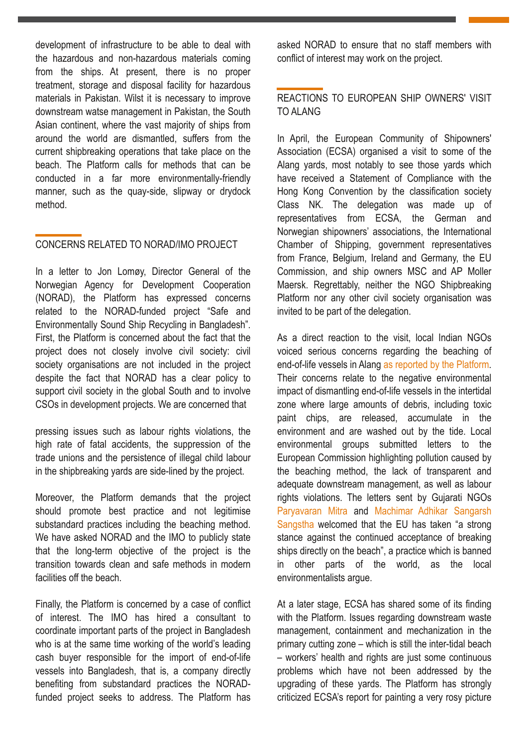development of infrastructure to be able to deal with the hazardous and non-hazardous materials coming from the ships. At present, there is no proper treatment, storage and disposal facility for hazardous materials in Pakistan. Wilst it is necessary to improve downstream watse management in Pakistan, the South Asian continent, where the vast majority of ships from around the world are dismantled, suffers from the current shipbreaking operations that take place on the beach. The Platform calls for methods that can be conducted in a far more environmentally-friendly manner, such as the quay-side, slipway or drydock method.

## CONCERNS RELATED TO NORAD/IMO PROJECT

In a letter to Jon Lomøy, Director General of the Norwegian Agency for Development Cooperation (NORAD), the Platform has expressed concerns related to the NORAD-funded project "Safe and Environmentally Sound Ship Recycling in Bangladesh". First, the Platform is concerned about the fact that the project does not closely involve civil society: civil society organisations are not included in the project despite the fact that NORAD has a clear policy to support civil society in the global South and to involve CSOs in development projects. We are concerned that

pressing issues such as labour rights violations, the high rate of fatal accidents, the suppression of the trade unions and the persistence of illegal child labour in the shipbreaking yards are side-lined by the project.

Moreover, the Platform demands that the project should promote best practice and not legitimise substandard practices including the beaching method. We have asked NORAD and the IMO to publicly state that the long-term objective of the project is the transition towards clean and safe methods in modern facilities off the beach.

Finally, the Platform is concerned by a case of conflict of interest. The IMO has hired a consultant to coordinate important parts of the project in Bangladesh who is at the same time working of the world's leading cash buyer responsible for the import of end-of-life vessels into Bangladesh, that is, a company directly benefiting from substandard practices the NORADfunded project seeks to address. The Platform has asked NORAD to ensure that no staff members with conflict of interest may work on the project.

### REACTIONS TO EUROPEAN SHIP OWNERS' VISIT TO ALANG

In April, the European Community of Shipowners' Association (ECSA) organised a visit to some of the Alang yards, most notably to see those yards which have received a Statement of Compliance with the Hong Kong Convention by the classification society Class NK. The delegation was made up of representatives from ECSA, the German and Norwegian shipowners' associations, the International Chamber of Shipping, government representatives from France, Belgium, Ireland and Germany, the EU Commission, and ship owners MSC and AP Moller Maersk. Regrettably, neither the NGO Shipbreaking Platform nor any other civil society organisation was invited to be part of the delegation.

As a direct reaction to the visit, local Indian NGOs voiced serious concerns regarding the beaching of end-of-life vessels in Alang as reported by the [Platform.](http://www.shipbreakingplatform.org/platform-news-indian-ngos-voice-concerns-as-ship-owners-promote-beaching/) Their concerns relate to the negative environmental impact of dismantling end-of-life vessels in the intertidal zone where large amounts of debris, including toxic paint chips, are released, accumulate in the environment and are washed out by the tide. Local environmental groups submitted letters to the European Commission highlighting pollution caused by the beaching method, the lack of transparent and adequate downstream management, as well as labour rights violations. The letters sent by Gujarati NGOs [Paryavaran](http://www.shipbreakingplatform.org/shipbrea_wp2011/wp-content/uploads/2016/05/Letter-for-European-Commission.pdf) Mitra and [Machimar](http://www.shipbreakingplatform.org/shipbrea_wp2011/wp-content/uploads/2016/05/Letter.pdf) Adhikar Sangarsh [Sangstha](http://www.shipbreakingplatform.org/shipbrea_wp2011/wp-content/uploads/2016/05/Letter.pdf) welcomed that the EU has taken "a strong stance against the continued acceptance of breaking ships directly on the beach", a practice which is banned in other parts of the world, as the local environmentalists argue.

At a later stage, ECSA has shared some of its finding with the Platform. Issues regarding downstream waste management, containment and mechanization in the primary cutting zone  $-$  which is still the inter-tidal beach – workers' health and rights are just some continuous problems which have not been addressed by the upgrading of these yards. The Platform has strongly criticized ECSA's report for painting a very rosy picture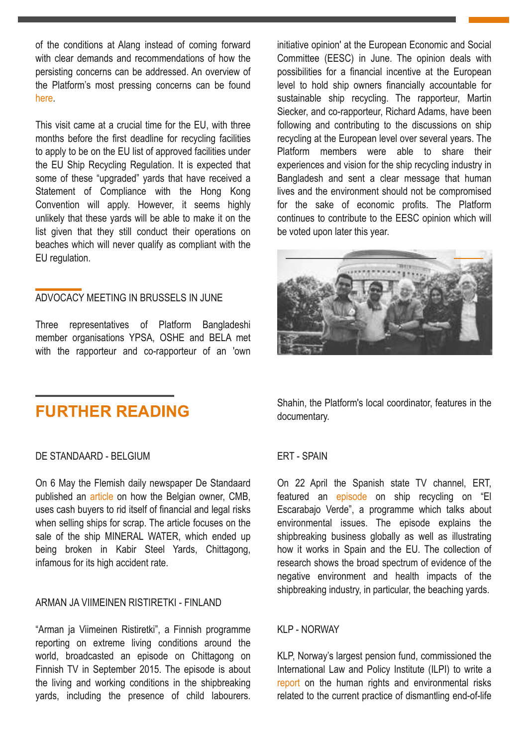of the conditions at Alang instead of coming forward with clear demands and recommendations of how the persisting concerns can be addressed. An overview of the Platform's most pressing concerns can be found [here](http://www.shipbreakingplatform.org/platform-news-ecsas-alang-report-turns-a-blind-eye-on-problems-of-beaching-method/).

This visit came at a crucial time for the EU, with three months before the first deadline for recycling facilities to apply to be on the EU list of approved facilities under the EU Ship Recycling Regulation. It is expected that some of these "upgraded" yards that have received a Statement of Compliance with the Hong Kong Convention will apply. However, it seems highly unlikely that these yards will be able to make it on the list given that they still conduct their operations on beaches which will never qualify as compliant with the EU regulation.

#### ADVOCACY MEETING IN BRUSSELS IN JUNE

Three representatives of Platform Bangladeshi member organisations YPSA, OSHE and BELA met with the rapporteur and co-rapporteur of an 'own

## **FURTHER READING**

#### DE STANDAARD - BELGIUM

On 6 May the Flemish daily newspaper De Standaard published an [article](http://www.standaard.be/cnt/dmf20160505_02275326) on how the Belgian owner, CMB, uses cash buyers to rid itself of financial and legal risks when selling ships for scrap. The article focuses on the sale of the ship MINERAL WATER, which ended up being broken in Kabir Steel Yards, Chittagong, infamous for its high accident rate.

#### ARMAN JA VIIMEINEN RISTIRETKI FINLAND

"Arman ja Viimeinen Ristiretki", a Finnish programme reporting on extreme living conditions around the world, broadcasted an episode on Chittagong on Finnish TV in September 2015. The episode is about the living and working conditions in the shipbreaking yards, including the presence of child labourers. initiative opinion' at the European Economic and Social Committee (EESC) in June. The opinion deals with possibilities for a financial incentive at the European level to hold ship owners financially accountable for sustainable ship recycling. The rapporteur, Martin Siecker, and co-rapporteur, Richard Adams, have been following and contributing to the discussions on ship recycling at the European level over several years. The Platform members were able to share their experiences and vision for the ship recycling industry in Bangladesh and sent a clear message that human lives and the environment should not be compromised for the sake of economic profits. The Platform continues to contribute to the EESC opinion which will be voted upon later this year.



Shahin, the Platform's local coordinator, features in the documentary.

#### **ERT - SPAIN**

On 22 April the Spanish state TV channel, ERT, featured an [episode](http://www.rtve.es/alacarta/videos/el-escarabajo-verde/escarabajo-verde-buques-mejor-postor/3581207/) on ship recycling on "El Escarabajo Verde", a programme which talks about environmental issues. The episode explains the shipbreaking business globally as well as illustrating how it works in Spain and the EU. The collection of research shows the broad spectrum of evidence of the negative environment and health impacts of the shipbreaking industry, in particular, the beaching yards.

#### **KLP - NORWAY**

KLP, Norway's largest pension fund, commissioned the International Law and Policy Institute (ILPI) to write a [report](http://ilpi.org/publications/shipbreaking-in-bangladesh-india-and-pakistan/) on the human rights and environmental risks related to the current practice of dismantling end-of-life